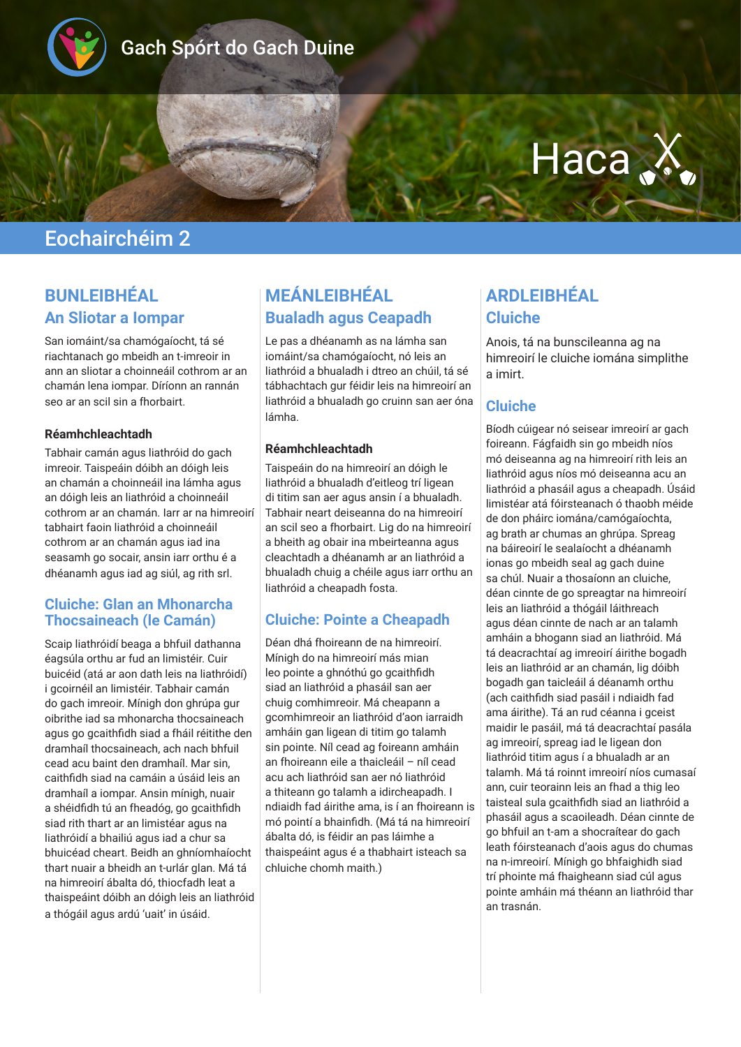

# Gach Spórt do Gach Duine

# Haca X

# Eochairchéim 2

## **BUNLEIBHÉAL An Sliotar a Iompar**

San iomáint/sa chamógaíocht, tá sé riachtanach go mbeidh an t-imreoir in ann an sliotar a choinneáil cothrom ar an chamán lena iompar. Díríonn an rannán seo ar an scil sin a fhorbairt.

#### **Réamhchleachtadh**

Tabhair camán agus liathróid do gach imreoir. Taispeáin dóibh an dóigh leis an chamán a choinneáil ina lámha agus an dóigh leis an liathróid a choinneáil cothrom ar an chamán. Iarr ar na himreoirí tabhairt faoin liathróid a choinneáil cothrom ar an chamán agus iad ina seasamh go socair, ansin iarr orthu é a dhéanamh agus iad ag siúl, ag rith srl.

#### **Cluiche: Glan an Mhonarcha Thocsaineach (le Camán)**

Scaip liathróidí beaga a bhfuil dathanna éagsúla orthu ar fud an limistéir. Cuir buicéid (atá ar aon dath leis na liathróidí) i gcoirnéil an limistéir. Tabhair camán do gach imreoir. Mínigh don ghrúpa gur oibrithe iad sa mhonarcha thocsaineach agus go gcaithfidh siad a fháil réitithe den dramhaíl thocsaineach, ach nach bhfuil cead acu baint den dramhaíl. Mar sin, caithfidh siad na camáin a úsáid leis an dramhaíl a iompar. Ansin mínigh, nuair a shéidfidh tú an fheadóg, go gcaithfidh siad rith thart ar an limistéar agus na liathróidí a bhailiú agus iad a chur sa bhuicéad cheart. Beidh an ghníomhaíocht thart nuair a bheidh an t-urlár glan. Má tá na himreoirí ábalta dó, thiocfadh leat a thaispeáint dóibh an dóigh leis an liathróid a thógáil agus ardú 'uait' in úsáid.

## **MEÁNLEIBHÉAL Bualadh agus Ceapadh**

Le pas a dhéanamh as na lámha san iomáint/sa chamógaíocht, nó leis an liathróid a bhualadh i dtreo an chúil, tá sé tábhachtach gur féidir leis na himreoirí an liathróid a bhualadh go cruinn san aer óna lámha.

#### **Réamhchleachtadh**

Taispeáin do na himreoirí an dóigh le liathróid a bhualadh d'eitleog trí ligean di titim san aer agus ansin í a bhualadh. Tabhair neart deiseanna do na himreoirí an scil seo a fhorbairt. Lig do na himreoirí a bheith ag obair ina mbeirteanna agus cleachtadh a dhéanamh ar an liathróid a bhualadh chuig a chéile agus iarr orthu an liathróid a cheapadh fosta.

#### **Cluiche: Pointe a Cheapadh**

Déan dhá fhoireann de na himreoirí. Mínigh do na himreoirí más mian leo pointe a ghnóthú go gcaithfidh siad an liathróid a phasáil san aer chuig comhimreoir. Má cheapann a gcomhimreoir an liathróid d'aon iarraidh amháin gan ligean di titim go talamh sin pointe. Níl cead ag foireann amháin an fhoireann eile a thaicleáil – níl cead acu ach liathróid san aer nó liathróid a thiteann go talamh a idircheapadh. I ndiaidh fad áirithe ama, is í an fhoireann is mó pointí a bhainfidh. (Má tá na himreoirí ábalta dó, is féidir an pas láimhe a thaispeáint agus é a thabhairt isteach sa chluiche chomh maith.)

## **ARDLEIBHÉAL Cluiche**

Anois, tá na bunscileanna ag na himreoirí le cluiche iomána simplithe a imirt.

#### **Cluiche**

Bíodh cúigear nó seisear imreoirí ar gach foireann. Fágfaidh sin go mbeidh níos mó deiseanna ag na himreoirí rith leis an liathróid agus níos mó deiseanna acu an liathróid a phasáil agus a cheapadh. Úsáid limistéar atá fóirsteanach ó thaobh méide de don pháirc iomána/camógaíochta, ag brath ar chumas an ghrúpa. Spreag na báireoirí le sealaíocht a dhéanamh ionas go mbeidh seal ag gach duine sa chúl. Nuair a thosaíonn an cluiche, déan cinnte de go spreagtar na himreoirí leis an liathróid a thógáil láithreach agus déan cinnte de nach ar an talamh amháin a bhogann siad an liathróid. Má tá deacrachtaí ag imreoirí áirithe bogadh leis an liathróid ar an chamán, lig dóibh bogadh gan taicleáil á déanamh orthu (ach caithfidh siad pasáil i ndiaidh fad ama áirithe). Tá an rud céanna i gceist maidir le pasáil, má tá deacrachtaí pasála ag imreoirí, spreag iad le ligean don liathróid titim agus í a bhualadh ar an talamh. Má tá roinnt imreoirí níos cumasaí ann, cuir teorainn leis an fhad a thig leo taisteal sula gcaithfidh siad an liathróid a phasáil agus a scaoileadh. Déan cinnte de go bhfuil an t-am a shocraítear do gach leath fóirsteanach d'aois agus do chumas na n-imreoirí. Mínigh go bhfaighidh siad trí phointe má fhaigheann siad cúl agus pointe amháin má théann an liathróid thar an trasnán.